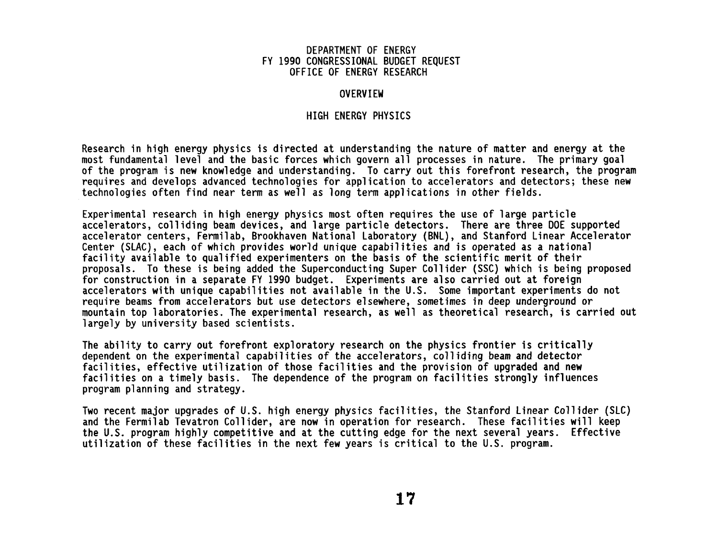# DEPARTMENT OF ENERGY FY **1990** CONGRESSIONAL BUDGET REQUEST OFFICE OF ENERGY RESEARCH

# **OVERVIEW**

# HIGH ENERGY PHYSICS

Research in high energy physics is directed at understanding the nature of matter and energy at the most fundamental level and the basic forces which govern all processes in nature. The primary goal of the program is new knowledge and understanding. To carry out this forefront research, the program requires and develops advanced technologies for application to accelerators and detectors; these new technologies often find near term as well as long term applications in other fields.

Experimental research in high energy physics most often requires the use of large particle accelerators, colliding beam devices, and large particle detectors. There are three DOE supported accelerator centers, Fermilab, Brookhaven National Laboratory (BNL), and Stanford Linear Accelerator Center (SLAC), each of which provides world unique capabilities and is operated as a national facility available to qualified experimenters on the basis of the scientific merit of their proposals. To these is being added the Superconducting Super Coll ider (SSC) which is being proposed for construction in a separate FY **1990** budget. Experiments are also carried out at foreign accelerators with unique capabilities not available in the U.S. Some important experiments do not require beams from accelerators but use detectors elsewhere, sometimes in deep underground or mountain top laboratories. The experimental research, as well as theoretical research, is carried out **1** argely by university based scientists.

The ability to carry out forefront exploratory research on the physics frontier is critically dependent on the experimental capabilities of the accelerators, colliding beam and detector facilities, effective utilization of those facilities and the provision of upgraded and new facilities on a timely basis. The dependence of the program on facilities strongly influences program planning and strategy.

Two recent major upgrades of U.S. high energy physics facilities, the Stanford Linear Coll ider (SLC) and the Fermilab Tevatron Coll ider, are now in operation for research. These facilities will keep the U.S. program highly competitive and at the cutting edge for the next several years. Effective utilization of these facilities in the next few years is critical to the U.S. program.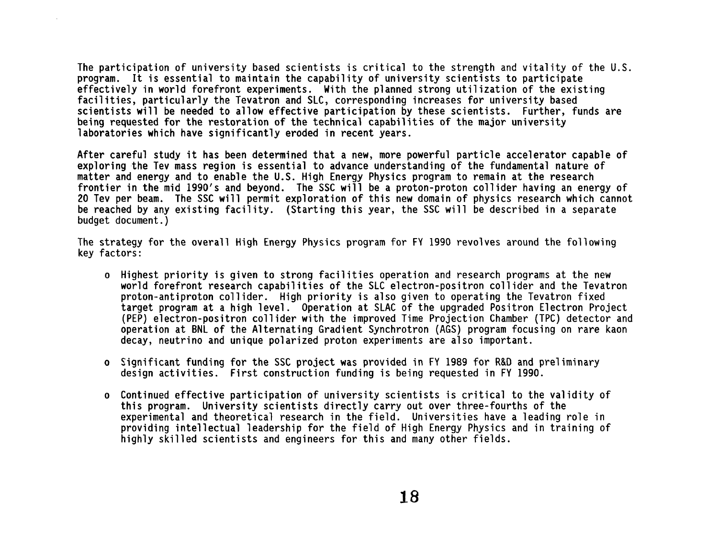**The participation of university based scientists is critical to the strength and vitality of the U.S. program. It is essential to maintain the capability of university scientists to participate**  effectively in world forefront experiments. With the planned strong utilization of the existing **facilities, particularly the Tevatron and SLC, corresponding increases for university based scientists will be needed to a1 low effective participation by these scientists. Further, funds are being requested for the restoration of the technical capabilities of the major university laboratories which have significantly eroded in recent years.** 

**After careful study it has been determined that a new, more powerful particle accelerator capable of exploring the Tev mass region is essential to advance understanding of the fundamental nature of matter and energy and to enable the U.S. High Energy Physics program to remain at the research frontier in the mid 1990's and beyond. The SSC will be a proton-proton collider having an energy of 20 Tev per beam. The SSC will permit exploration of this new domain of physics research which cannot be reached by any existing facility. (Starting this year, the SSC will be described in a separate budget document.** )

**The strategy for the overall High Energy Physics program for FY 1990 revolves around the following key factors:** 

- **o Highest priority is given to strong facilities operation and research programs at the new world forefront research capabilities of the SLC electron-positron collider and the Tevatron proton-antiproton collider. High priority is also given to operating the Tevatron fixed target program at a high level. Operation at SLAC of the upgraded Positron Electron Project (PEP) electron-positron collider with the improved Time Projection Chamber (TPC) detector and operation at BNL of the Alternating Gradient Synchrotron (AGS) program focusing on rare kaon decay, neutrino and unique polarized proton experiments are also important.**
- **o Significant funding for the SSC project was provided in FY 1989 for R&D and preliminary design activities. First construction funding is being requested in FY 1990.**
- **o Continued effective participation of university scientists is critical to the validity of this program. University scientists directly carry out over three-fourths of the experimental and theoretical research in the field. Universities have a leading role in providing intellectual leadership for the field of High Energy Physics and in training of highly skilled scientists and engineers for this and many other fields.**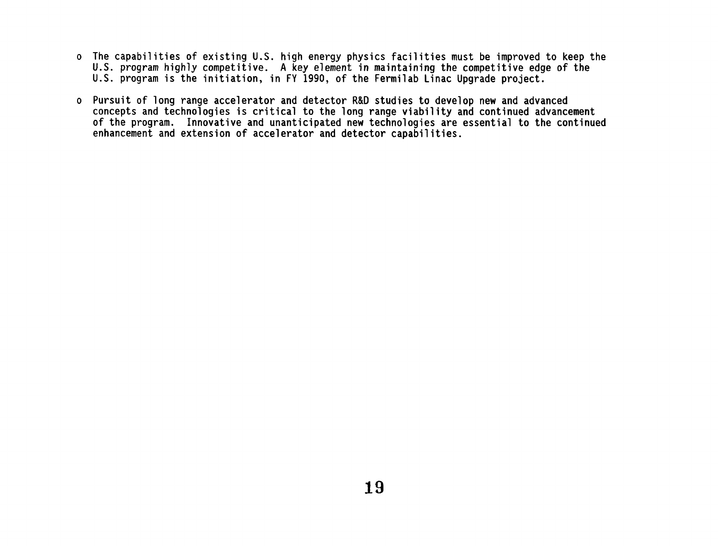- **o The capabilities of existing U.S. high energy physics facilities must be improved to keep the U.S. program highly competitive. A key element in maintaining the competitive edge of the U.S. program is the initiation, in FY 1990, of the Fermilab Linac Upgrade project.**
- **o Pursuit of long range accelerator and detector R&D studies to develop new and advanced**  concepts and technologies is critical to the long range viability and continued advancement **of the program. Innovative and unanticipated new technologies are essential to the continued enhancement and extension of accelerator and detector capabilities.**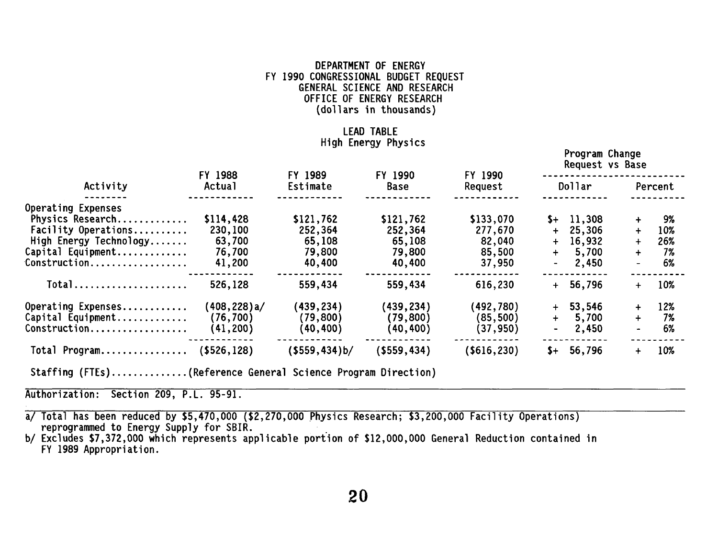# DEPARTMENT OF ENERGY FY 1990 CONGRESSIONAL BUDGET REQUEST GENERAL SCIENCE AND RESEARCH OFFICE OF ENERGY RESEARCH (dollars in thousands)

# LEAD TABLE High Energy Physics

Program Change

|                                                         |                   |                     |                        |                    |        | rrogram cnange<br>Request vs Base |             |         |
|---------------------------------------------------------|-------------------|---------------------|------------------------|--------------------|--------|-----------------------------------|-------------|---------|
| Activity                                                | FY 1988<br>Actual | FY 1989<br>Estimate | FY 1990<br><b>Base</b> | FY 1990<br>Request |        | Dollar                            |             | Percent |
| Operating Expenses                                      |                   |                     |                        |                    |        |                                   |             |         |
| Physics Research                                        | \$114,428         | \$121,762           | \$121,762              | \$133,070          |        | $$+$ 11,308                       | ╇           | 9%      |
| Facility Operations                                     | 230,100           | 252,364             | 252,364                | 277,670            |        | $+ 25,306$                        | $\pm$       | 10%     |
| High Energy Technology                                  | 63,700            | 65,108              | 65,108                 | 82,040             | $+$    | 16,932                            | $+$         | 26%     |
| Capital Equipment                                       | 76,700            | 79,800              | 79,800                 | 85,500             | $+$    | 5,700                             | $\ddotmark$ | 7%      |
| Construction                                            | 41,200            | 40,400              | 40,400                 | 37,950             | $\sim$ | 2,450                             |             | 6%      |
| $Total$                                                 | 526,128           | 559,434             | 559,434                | 616,230            |        | $+ 56,796$                        | $+$         | 10%     |
| Operating Expenses                                      | (408,228)a/       | (439,234)           | (439,234)              | (492,780)          | $+$    | 53,546                            | $+$         | 12%     |
| Capital Equipment                                       | (76, 700)         | (79,800)            | (79, 800)              | (85, 500)          | $+$    | 5,700                             | $+$         | 7%      |
| Construction                                            | (41, 200)         | (40,400)            | (40,400)               | (37, 950)          |        | 2,450                             |             | 6%      |
| Total Program                                           | (5526, 128)       | ( \$559, 434) b/    | $($ \$559,434)         | ( \$616, 230)      | $S+$   | 56,796                            | $+$         | 10%     |
| $\sim$ $\sim$ $\sim$ $\sim$ $\sim$ $\sim$ $\sim$ $\sim$ | $\sim$ $\sim$     |                     |                        |                    |        |                                   |             |         |

Staffing (FTEs) .............. (Reference General Science Program Direction)

Authorization: Section 209, P.L. 95-91.

a/ Total has been reduced by \$5,470,000 (\$2,270,000 Physics Research; \$3,200,000 Facility Operations) reprogrammed to Energy Supply for SBIR.

b/ Excludes \$7,372,000 which represents applicable portion of \$12,000,000 General Reduction contained in FY 1989 Appropriation.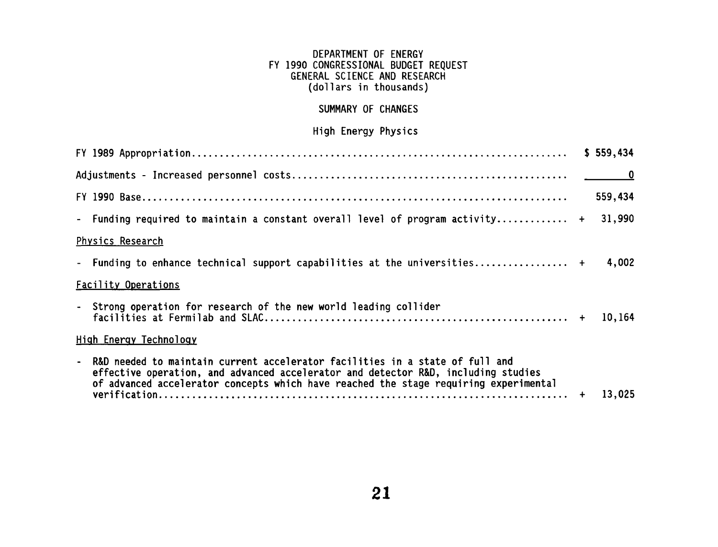# DEPARTMENT OF ENERGY FY 1990 CONGRESSIONAL BUDGET REQUEST GENERAL SCIENCE AND RESEARCH (do1 1 ars in thousands)

# SUMMARY OF CHANGES

# High Energy Physics

|                                                                                                                                                                                                                                                             | \$559,434 |
|-------------------------------------------------------------------------------------------------------------------------------------------------------------------------------------------------------------------------------------------------------------|-----------|
|                                                                                                                                                                                                                                                             |           |
|                                                                                                                                                                                                                                                             | 559,434   |
| - Funding required to maintain a constant overall level of program activity +                                                                                                                                                                               | 31,990    |
| Physics Research                                                                                                                                                                                                                                            |           |
| - Funding to enhance technical support capabilities at the universities +                                                                                                                                                                                   | 4,002     |
| <b>Facility Operations</b>                                                                                                                                                                                                                                  |           |
| - Strong operation for research of the new world leading collider                                                                                                                                                                                           | 10,164    |
| High Energy Technology                                                                                                                                                                                                                                      |           |
| - R&D needed to maintain current accelerator facilities in a state of full and<br>effective operation, and advanced accelerator and detector R&D, including studies<br>of advanced accelerator concepts which have reached the stage requiring experimental | 13,025    |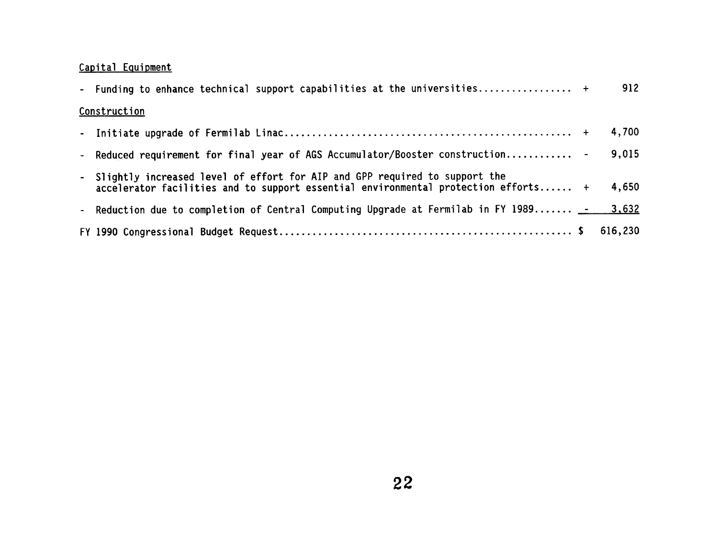# **Capital Equipment**

| Capital Equipment                                                                                                                                                  |         |
|--------------------------------------------------------------------------------------------------------------------------------------------------------------------|---------|
| - Funding to enhance technical support capabilities at the universities +                                                                                          | 912     |
| Construction                                                                                                                                                       |         |
|                                                                                                                                                                    | 4,700   |
| - Reduced requirement for final year of AGS Accumulator/Booster construction -                                                                                     | 9,015   |
| - Slightly increased level of effort for AIP and GPP required to support the<br>accelerator facilities and to support essential environmental protection efforts + | 4,650   |
| - Reduction due to completion of Central Computing Upgrade at Fermilab in FY 1989 - 3,632                                                                          |         |
|                                                                                                                                                                    | 616,230 |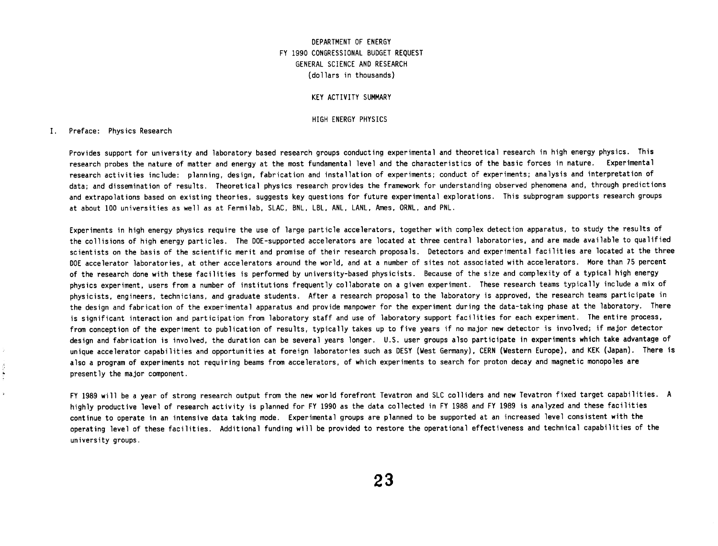## **DEPARTMENT OF ENERGY FY 1990 CONGRESSIONAL BUDGET REQUEST GENERAL SCIENCE AND RESEARCH (do1 lars in thousands)**

#### **KEY ACTIVITY SUMMARY**

#### **HIGH ENERGY PHYSICS**

#### **I. Preface: Physics Research**

**Provides support for university and laboratory based research groups conducting experimental and theoretical research in high energy physics. This research probes the nature of matter and energy at the most fundamental level and the characteristics of the basic forces in nature. Experimental**  research activities include: planning, design, fabrication and installation of experiments; conduct of experiments; analysis and interpretation of **data; and dissemination of results. Theoretical physics research provides the framework for understanding observed phenomena and, through predictions and extrapolations based on existing theories, suggests key questions for future experimental explorations. This subprogram supports research groups at about 100 universities as well as at Fermilab, SLAC, BNL, LBL, ANL, LANL, Ames, ORNL, and PNL.** 

**Experiments in high energy physics require the use of large particle accelerators, together with complex detect ion apparatus, to study the results of the collisions of high energy particles. The DOE-supported accelerators are located at three central laboratories, and are made available to qualified scientists on the basis of the scientific merit and promise of their research proposals. Detectors and experimental facilities are located at the three DOE accelerator laboratories, at other accelerators around the world, and at a number of sites not associated with accelerators. More than 75 percent of the research done with these facilities is performed by university-based physicists. Because of the size and complexity of a typical high energy physics experiment, users from a number of institutions frequently collaborate on a given experiment. These research teams typically include a mix of physicists, engineers, technicians, and graduate students. After a research proposal to the laboratory is approved, the research teams participate in the design and fabrication of the experimental apparatus and provide manpower for the experiment during the data-taking phase at the laboratory. There is significant interaction and participation from laboratory staff and use of laboratory support facilities for each experiment. The entire process,**  from conception of the experiment to publication of results, typically takes up to five years if no major new detector is involved; if major detector **design and fabrication is involved, the duration can be several years longer. U.S. user groups also participate in experiments which take advantage of unique accelerator capabi 1 it ies and opportunities at foreign laboratories such as DESY (West Germany), CERN (Western Europe), and KEK (Japan). There is also a program of experiments not requiring beams from accelerators, of which experiments to search for proton decay and magnetic monopoles are presently the major component.** 

**FY 1989 will be a year of strong research output from the new world forefront Tevatron and SLC colliders and new Tevatron fixed target capabilities. A highly productive level of research activity is planned for FY 1990 as the data collected in FY 1988 and FY 1989 is analyzed and these facilities continue to operate in an intensive data taking mode. Experimental groups are planned to be supported at an increased level consistent with the operating level of these facilities. Additional funding will be provided to restore the operational effectiveness and technical capabilities of the university groups.**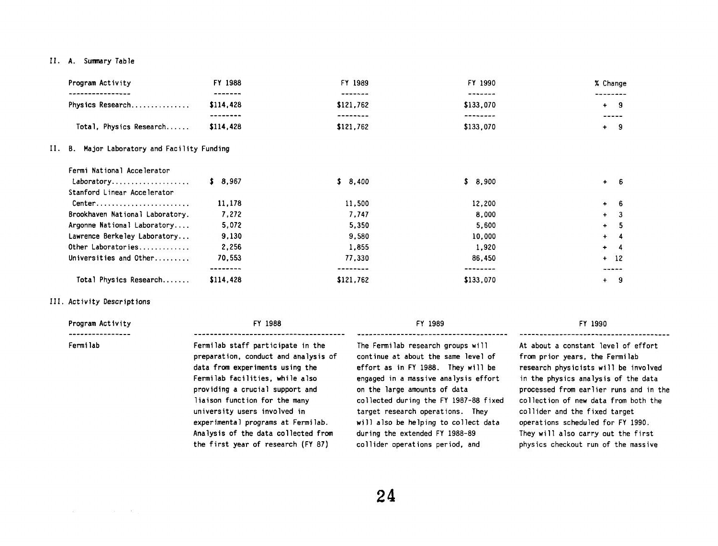#### **11. A. Sumnary Table**

| Program Activity                                          | FY 1988              | FY 1989              | FY 1990              | % Change           |
|-----------------------------------------------------------|----------------------|----------------------|----------------------|--------------------|
| Physics Research                                          | -------<br>\$114,428 | -------<br>\$121,762 | -------<br>\$133,070 | --------<br>$+ 9$  |
|                                                           | --------             | --------             | --------             |                    |
| Total, Physics Research                                   | \$114,428            | \$121,762            | \$133,070            | $+ 9$              |
| II. B. Major Laboratory and Facility Funding              |                      |                      |                      |                    |
| Fermi National Accelerator                                |                      |                      |                      |                    |
| Laboratory<br>Stanford Linear Accelerator                 | \$3,967              | \$8,400              | \$8,900              | $+ 6$              |
| $Center \ldots \ldots \ldots \ldots \ldots \ldots \ldots$ | 11,178               | 11,500               | 12,200               | - 6<br>$+$         |
| Brookhaven National Laboratory.                           | 7,272                | 7,747                | 8,000                | $\ddotmark$<br>- 3 |
| Argonne National Laboratory                               | 5,072                | 5.350                | 5,600                | - 5<br>$+$         |
| Lawrence Berkeley Laboratory                              | 9,130                | 9,580                | 10,000               | $+$<br>- 4         |
| Other Laboratories                                        | 2,256                | 1,855                | 1,920                | $+$<br>- 4         |
| Universities and Other                                    | 70,553               | 77,330               | 86,450               | $+ 12$             |
|                                                           | --------             | --------             | --------             |                    |
| Total Physics Research                                    | \$114,428            | \$121,762            | \$133,070            | - 9<br>$+$         |

#### 111. **Activity Descriptions**

 $\mathcal{L}_{\mathcal{A}}$  and  $\mathcal{L}_{\mathcal{A}}$  are the set of the set of  $\mathcal{L}_{\mathcal{A}}$ 

| Program Activity | FY 1988                              | FY 1989                              | FY 1990                                |
|------------------|--------------------------------------|--------------------------------------|----------------------------------------|
| Fermilab         | Fermilab staff participate in the    | The Fermilab research groups will    | At about a constant level of effort    |
|                  | preparation, conduct and analysis of | continue at about the same level of  | from prior years, the Fermilab         |
|                  | data from experiments using the      | effort as in FY 1988. They will be   | research physicists will be involved   |
|                  | Fermilab facilities, while also      | engaged in a massive analysis effort | in the physics analysis of the data    |
|                  | providing a crucial support and      | on the large amounts of data         | processed from earlier runs and in the |

**providing a crucial support and liaison function for the many university users involved in exper imenta 1 programs at Fermi lab. Analysis of the data collected from the first year of research (FY 87)** 

**collected during the FY 1987-88 fixed target research operat ions. They will also be helping to collect data during the extended FY 1988-89 col 1 ider operat ions period, and** 

**collection of new data from both the collider and the fixed target operations scheduled for FY 1990. They will also carry out the first physics checkout run of the massive**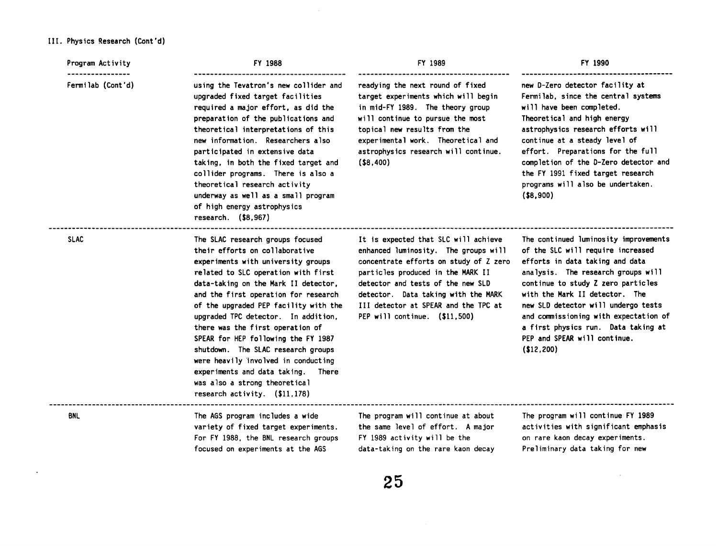# **III.** Physics Research (Cont'd)

 $\sim 100$ 

| Program Activity  | FY 1988                                                                                                                                                                                                                                                                                                                                                                                                                                                                                                                                                                         | FY 1989                                                                                                                                                                                                                                                                                                          | FY 1990<br>new D-Zero detector facility at<br>Fermilab, since the central systems<br>will have been completed.<br>Theoretical and high energy<br>astrophysics research efforts will<br>continue at a steady level of<br>effort. Preparations for the full<br>completion of the D-Zero detector and<br>the FY 1991 fixed target research<br>programs will also be undertaken.<br>$($ \$8,900)      |  |
|-------------------|---------------------------------------------------------------------------------------------------------------------------------------------------------------------------------------------------------------------------------------------------------------------------------------------------------------------------------------------------------------------------------------------------------------------------------------------------------------------------------------------------------------------------------------------------------------------------------|------------------------------------------------------------------------------------------------------------------------------------------------------------------------------------------------------------------------------------------------------------------------------------------------------------------|---------------------------------------------------------------------------------------------------------------------------------------------------------------------------------------------------------------------------------------------------------------------------------------------------------------------------------------------------------------------------------------------------|--|
| Fermilab (Cont'd) | using the Tevatron's new collider and<br>upgraded fixed target facilities<br>required a major effort, as did the<br>preparation of the publications and<br>theoretical interpretations of this<br>new information. Researchers also<br>participated in extensive data<br>taking, in both the fixed target and<br>collider programs. There is also a<br>theoretical research activity<br>underway as well as a small program<br>of high energy astrophysics<br>research. $($ \$8,967)                                                                                            | readying the next round of fixed<br>target experiments which will begin<br>in mid-FY 1989. The theory group<br>will continue to pursue the most<br>topical new results from the<br>experimental work. Theoretical and<br>astrophysics research will continue.<br>$($ \$8,400)                                    |                                                                                                                                                                                                                                                                                                                                                                                                   |  |
| <b>SLAC</b>       | The SLAC research groups focused<br>their efforts on collaborative<br>experiments with university groups<br>related to SLC operation with first<br>data-taking on the Mark II detector,<br>and the first operation for research<br>of the upgraded PEP facility with the<br>upgraded TPC detector. In addition,<br>there was the first operation of<br>SPEAR for HEP following the FY 1987<br>shutdown. The SLAC research groups<br>were heavily involved in conducting<br>experiments and data taking. There<br>was also a strong theoretical<br>research activity. (\$11,178) | It is expected that SLC will achieve<br>enhanced luminosity. The groups will<br>concentrate efforts on study of Z zero<br>particles produced in the MARK II<br>detector and tests of the new SLD<br>detector. Data taking with the MARK<br>III detector at SPEAR and the TPC at<br>PEP will continue. (\$11,500) | The continued luminosity improvements<br>of the SLC will require increased<br>efforts in data taking and data<br>analysis. The research groups will<br>continue to study Z zero particles<br>with the Mark II detector. The<br>new SLD detector will undergo tests<br>and commissioning with expectation of<br>a first physics run. Data taking at<br>PEP and SPEAR will continue.<br>(\$12, 200) |  |
| <b>BNL</b>        | The AGS program includes a wide<br>variety of fixed target experiments.<br>For FY 1988, the BNL research groups<br>focused on experiments at the AGS                                                                                                                                                                                                                                                                                                                                                                                                                            | The program will continue at about<br>the same level of effort. A major<br>FY 1989 activity will be the<br>data-taking on the rare kaon decay                                                                                                                                                                    | The program will continue FY 1989<br>activities with significant emphasis<br>on rare kaon decay experiments.<br>Preliminary data taking for new                                                                                                                                                                                                                                                   |  |
|                   |                                                                                                                                                                                                                                                                                                                                                                                                                                                                                                                                                                                 |                                                                                                                                                                                                                                                                                                                  |                                                                                                                                                                                                                                                                                                                                                                                                   |  |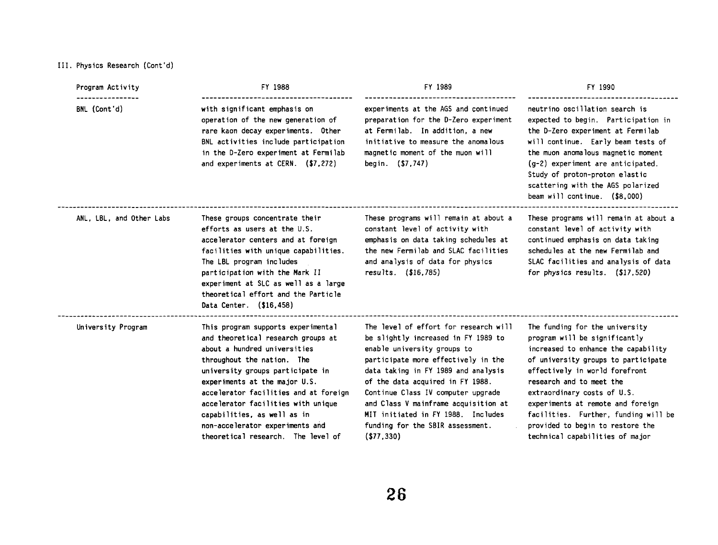# **111. Physics Research (Cont'd)**

| Program Activity                 | FY 1988                                                                                                                                                                                                                                                                                                                                                                                            | FY 1989                                                                                                                                                                                                                                                                                                                                                                                                | FY 1990<br>neutrino oscillation search is<br>expected to begin. Participation in<br>the D-Zero experiment at Fermilab<br>will continue. Early beam tests of<br>the muon anomalous magnetic moment<br>$(g-2)$ experiment are anticipated.<br>Study of proton-proton elastic<br>scattering with the AGS polarized<br>beam will continue. $($ \$8,000)                                            |  |
|----------------------------------|----------------------------------------------------------------------------------------------------------------------------------------------------------------------------------------------------------------------------------------------------------------------------------------------------------------------------------------------------------------------------------------------------|--------------------------------------------------------------------------------------------------------------------------------------------------------------------------------------------------------------------------------------------------------------------------------------------------------------------------------------------------------------------------------------------------------|------------------------------------------------------------------------------------------------------------------------------------------------------------------------------------------------------------------------------------------------------------------------------------------------------------------------------------------------------------------------------------------------|--|
| ----------------<br>BNL (Cont'd) | with significant emphasis on<br>operation of the new generation of<br>rare kaon decay experiments. Other<br>BNL activities include participation<br>in the D-Zero experiment at Fermilab<br>and experiments at CERN. $(57,272)$                                                                                                                                                                    | experiments at the AGS and continued<br>preparation for the D-Zero experiment<br>at Fermilab. In addition, a new<br>initiative to measure the anomalous<br>magnetic moment of the muon will<br>begin. (\$7,747)                                                                                                                                                                                        |                                                                                                                                                                                                                                                                                                                                                                                                |  |
| ANL, LBL, and Other Labs         | These groups concentrate their<br>efforts as users at the U.S.<br>accelerator centers and at foreign<br>facilities with unique capabilities.<br>The LBL program includes<br>participation with the Mark II<br>experiment at SLC as well as a large<br>theoretical effort and the Particle<br>Data Center. (\$16,458)                                                                               | These programs will remain at about a<br>constant level of activity with<br>emphasis on data taking schedules at<br>the new Fermilab and SLAC facilities<br>and analysis of data for physics<br>results. $( $16, 785)$                                                                                                                                                                                 | These programs will remain at about a<br>constant level of activity with<br>continued emphasis on data taking<br>schedules at the new Fermilab and<br>SLAC facilities and analysis of data<br>for physics results. $(17, 520)$                                                                                                                                                                 |  |
| University Program               | This program supports experimental<br>and theoretical research groups at<br>about a hundred universities<br>throughout the nation. The<br>university groups participate in<br>experiments at the major U.S.<br>accelerator facilities and at foreign<br>accelerator facilities with unique<br>capabilities, as well as in<br>non-accelerator experiments and<br>theoretical research. The level of | The level of effort for research will<br>be slightly increased in FY 1989 to<br>enable university groups to<br>participate more effectively in the<br>data taking in FY 1989 and analysis<br>of the data acquired in FY 1988.<br>Continue Class IV computer upgrade<br>and Class V mainframe acquisition at<br>MIT initiated in FY 1988. Includes<br>funding for the SBIR assessment.<br>$($ \$77,330) | The funding for the university<br>program will be significantly<br>increased to enhance the capability<br>of university groups to participate<br>effectively in world forefront<br>research and to meet the<br>extraordinary costs of U.S.<br>experiments at remote and foreign<br>facilities. Further, funding will be<br>provided to begin to restore the<br>technical capabilities of major |  |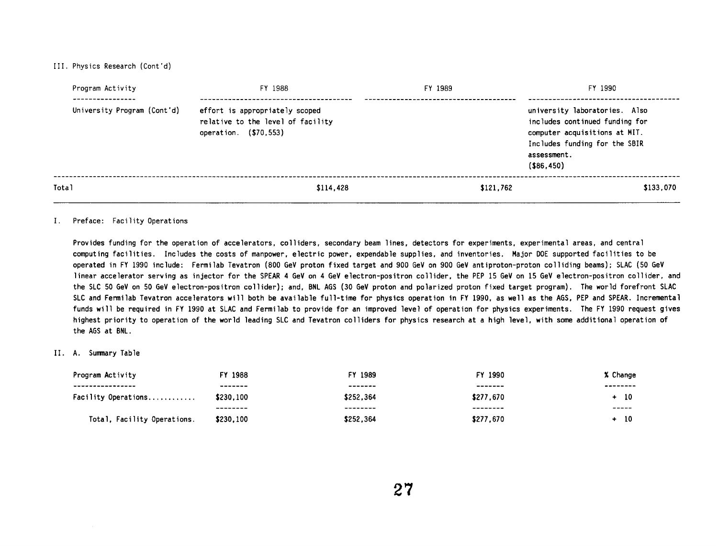III. Physics Research (Cont'd)

| Program Activity<br>----------- | FY 1988                                                                                      | FY 1989   | FY 1990                                                                                                                                                          |
|---------------------------------|----------------------------------------------------------------------------------------------|-----------|------------------------------------------------------------------------------------------------------------------------------------------------------------------|
| University Program (Cont'd)     | effort is appropriately scoped<br>relative to the level of facility<br>operation. (\$70,553) |           | university laboratories. Also<br>includes continued funding for<br>computer acquisitions at MIT.<br>Includes funding for the SBIR<br>assessment.<br>( \$86, 450) |
| Total                           | \$114,428                                                                                    | \$121,762 | \$133.070                                                                                                                                                        |

#### **I. Preface: Facilityoperations**

Provides funding for the operation of accelerators, colliders, secondary beam lines, detectors for experiments, experimental areas, and central computing facilities. Includes the costs of manpower, electric power, expendable supplies, and inventories. Major DOE supported facilities to be **operated in FY 1990 include: Fermi lab Tevatron (800 GeV proton fixed target and 900 GeV on 900 GeV antiproton-proton coll iding beams); SLAC (50 GeV linear accelerator serving as injector for the SPEAR 4 GeV on 4 GeV electron-positron collider, the PEP 15 GeV on 15 GeV electron-positron collider, and the SLC 50 GeV on 50 GeV electron-positron collider); and. BNL AGS (30 GeV proton and polarized proton fixed target program). The world forefront SLAC**  SLC and Fermilab Tevatron accelerators will both be available full-time for physics operation in FY 1990, as well as the AGS, PEP and SPEAR. Incremental funds will be required in FY 1990 at SLAC and Fermilab to provide for an improved level of operation for physics experiments. The FY 1990 request gives **highest priority to operation of the world leading SLC and Tevatron colliders for physics research at a high level, with some additional operation of the AGS at BNL.** 

#### **11. A. Sumnary Table**

| Program Activity            | FY 1988   | FY 1989   | FY 1990   | % Change |
|-----------------------------|-----------|-----------|-----------|----------|
| ----------------            | -------   | -------   | -------   | -------- |
| Facility Operations         | \$230.100 | \$252.364 | \$277.670 | -10      |
|                             | --------  | --------  | --------  | ------   |
| Total, Facility Operations. | \$230,100 | \$252.364 | \$277.670 | -10      |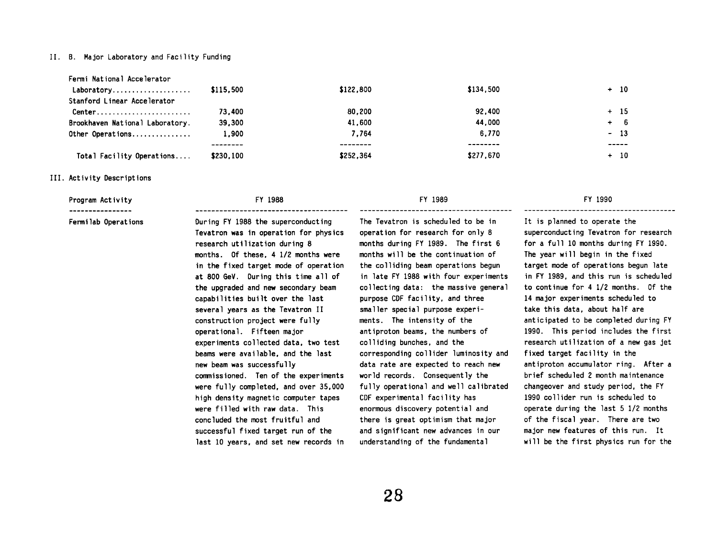#### **11. 8. Major Laboratory and Faci 1 ity Funding**

| Fermi National Accelerator                               |           |           |           |        |
|----------------------------------------------------------|-----------|-----------|-----------|--------|
| Laboratory                                               | \$115,500 | \$122,800 | \$134,500 | $+$ 10 |
| Stanford Linear Accelerator                              |           |           |           |        |
| $Center \dots \dots \dots \dots \dots \dots \dots \dots$ | 73.400    | 80.200    | 92,400    | $+ 15$ |
| Brookhaven National Laboratory.                          | 39,300    | 41.600    | 44.000    | $+ 6$  |
| Other Operations                                         | 1,900     | 7.764     | 6.770     | $-13$  |
|                                                          |           |           | --------  | -----  |
| Total Facility Operations                                | \$230,100 | \$252,364 | \$277.670 | $+ 10$ |
|                                                          |           |           |           |        |

#### **111. Activity Descriptions**

Program Activity **FY 1988** 

----------------

**Fermi lab Operations During FY 1988 the superconducting Tevatron was in operat ion for physics research ut i 1 izat ion during 8 months. Of these. 4 1/2 months were in the fixed target mode of operat ion at 800 GeV. During this time all of the upgraded and new secondary beam capabilities built over the last several years as the Tevatron I1**  construction project were fully **operational** . **Fifteen major experiments collected data, two test beams were avai lable, and the last new beam was successfully comnissioned. Ten of the experiments were fully completed, and over 35,000 high density magnetic computer tapes were filled with raw data. This concluded the most fruitful and successful fixed target run of the last 10 years, and set new records in** 

#### FY 1989

**The Tevatron is scheduled to be in operation for research for only 8 months during FY 1989. The first 6 months will be the continuation of the colliding beam operations begun in late FY 1988 with four experiments collecting data: the massive general purpose CDF faci 1 ity, and three smal ler special purpose exper iments. The intensity of the antiproton beams, the numbers of colliding bunches, and the corresponding col 1 ider luminosity and data rate are expected to reach new world records. Consequently the**  fully operational and well calibrated **CDF experimental faci 1 ity has enormous discovery potential and there is great optimism that major and significant new advances in our understanding of the fundamental** 

#### FY 1990

**It is planned to operate the superconducting Tevatron for research for a full 10 months during FY 1990. The year wi 11 begin in the fixed target mode of operations begun late in FY 1989. and this run is scheduled to continue for 4 1/2 months. Of the 14 major experiments scheduled to take this data, about half are anticipated to be completed during FY 1990. This period includes the first research utilization of a new gas jet fixed target facility in the antiproton accumulator ring. After a brief scheduled 2 month maintenance changeover and study period, the FY 1990 collider run is scheduled to operate during the last 5 1/2 months of the fiscal year. There are two major new features of this run. It will be the first physics run for the**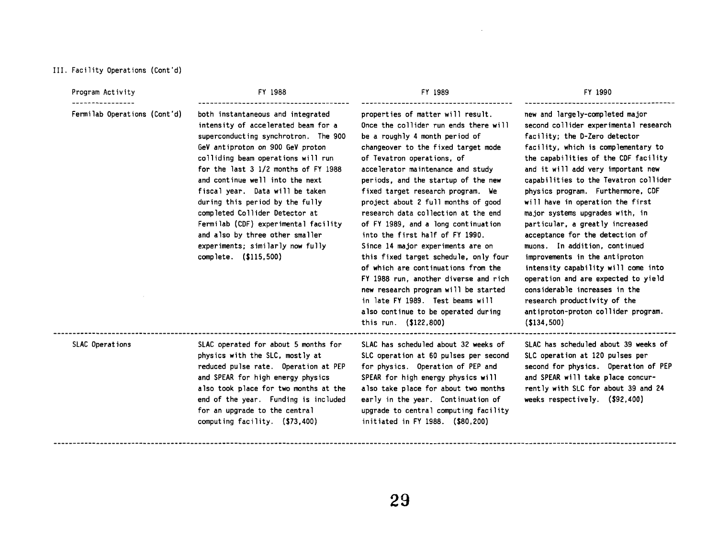#### 111. **Facility Operat ions (Cont'd)**

Program Activity **FY 1988** ----------------

**Fermi lab Operat ions (Cont 'd) both instantaneous and integrated intensity of accelerated beam for a superconducting synchrotron. The 900 GeV antiproton on 900 GeV proton colliding beam operations will run for the last 3 112 months of FY 1988 and continue well into the next fiscal year. Data wi 11 be taken during this period by the fully completed Col** 1 **ider Detector at Fermi lab (CDF) experimental faci 1 ity and also by three other smaller experiments; similarly now fully complete. (\$115,500)** 

FY 1989

**properties of matter will result. Once the coll ider run ends there wi 11 be a roughly 4 month period of changeover to the fixed target mode of Tevatron operations, of accelerator maintenance and study periods, and the startup of the new fixed target research program. We project about 2 full months of good research data collection at the end of FY 1989, and a long continuation into the first half of FY 1990. Since 14 major experiments are on this fixed target schedule, only four of which are continuations from the FY 1988 run, another diverse and rich new research program wi 11 be started in late FY 1989. Test beams will also continue to be operated during this run. (\$122.800)** 

FY 1990

**new and largely-completed major second col 1 ider exper imental research faci 1 ity; the D-Zero detector facility, which is complementary to the capabilities of the CDF facility and it wi 11 add very important new capabilities to the Tevatron collider physics program. Furthermore, CDF**  will have in operation the first **major systems upgrades with, in particular, a greatly increased acceptance for the detection of muons. In addition, continued improvements in the antiproton intensity capability will come into operation and are expected to yield considerable increases in the research productivity of the ant iproton-proton coll ider program. (\$134,500)** 

**SLAC Operations SLAC operated for about 5 months for physics with the SLC, mostly at reduced pulse rate. Operation at PEP and SPEAR for high energy physics also took place for two months at the end of the year. Funding is included for an upgrade to the central computing faci 1 ity. (\$73,400)** 

**SLC operation at 60 pulses per second SLC operation at 120 pulses per for physics. Operation of PEP and second for physics. Operat ion of PEP**  SPEAR for high energy physics will and SPEAR will take place concur**also take place for about two months rently with SLC for about 39 and 24 early in the year. Continuation of weeks respectively. (\$92.400) upgrade to central computing faci 1 ity initiated in FY 1988. (\$80,200)** 

**SLAC has scheduled about 32 weeks of SLAC has scheduled about 39 weeks of** 

----------------**---**------**--------**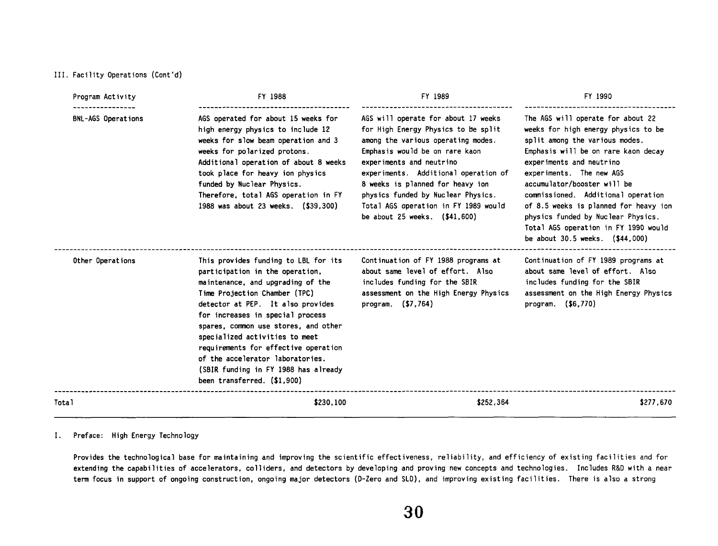#### **III. Facility Operations (Cont'd)**

| Program Activity   | FY 1988                                                                                                                                                                                                                                                                                                                                                                                                                                             | FY 1989<br>FY 1990                                                                                                                                                                                                                                                                                                                                                        |                                                                                                                                                                                                                                                                                                                                                                                                                                          |
|--------------------|-----------------------------------------------------------------------------------------------------------------------------------------------------------------------------------------------------------------------------------------------------------------------------------------------------------------------------------------------------------------------------------------------------------------------------------------------------|---------------------------------------------------------------------------------------------------------------------------------------------------------------------------------------------------------------------------------------------------------------------------------------------------------------------------------------------------------------------------|------------------------------------------------------------------------------------------------------------------------------------------------------------------------------------------------------------------------------------------------------------------------------------------------------------------------------------------------------------------------------------------------------------------------------------------|
| BNL-AGS Operations | AGS operated for about 15 weeks for<br>high energy physics to include 12<br>weeks for slow beam operation and 3<br>weeks for polarized protons.<br>Additional operation of about 8 weeks<br>took place for heavy ion physics<br>funded by Nuclear Physics.<br>Therefore, total AGS operation in FY<br>1988 was about 23 weeks. (\$39,300)                                                                                                           | AGS will operate for about 17 weeks<br>for High Energy Physics to be split<br>among the various operating modes.<br>Emphasis would be on rare kaon<br>experiments and neutrino<br>experiments. Additional operation of<br>8 weeks is planned for heavy ion<br>physics funded by Nuclear Physics.<br>Total AGS operation in FY 1989 would<br>be about 25 weeks. (\$41,600) | The AGS will operate for about 22<br>weeks for high energy physics to be<br>split among the various modes.<br>Emphasis will be on rare kaon decay<br>experiments and neutrino<br>experiments. The new AGS<br>accumulator/booster will be<br>commissioned. Additional operation<br>of 8.5 weeks is planned for heavy ion<br>physics funded by Nuclear Physics.<br>Total AGS operation in FY 1990 would<br>be about 30.5 weeks. (\$44,000) |
| Other Operations   | This provides funding to LBL for its<br>participation in the operation,<br>maintenance, and upgrading of the<br>Time Projection Chamber (TPC)<br>detector at PEP. It also provides<br>for increases in special process<br>spares, common use stores, and other<br>specialized activities to meet<br>requirements for effective operation<br>of the accelerator laboratories.<br>(SBIR funding in FY 1988 has already<br>been transferred. (\$1,900) | Continuation of FY 1988 programs at<br>about same level of effort. Also<br>includes funding for the SBIR<br>assessment on the High Energy Physics<br>program. $( $7, 764)$                                                                                                                                                                                                | Continuation of FY 1989 programs at<br>about same level of effort. Also<br>includes funding for the SBIR<br>assessment on the High Energy Physics<br>program. (\$6,770)                                                                                                                                                                                                                                                                  |
| Total              | \$230,100                                                                                                                                                                                                                                                                                                                                                                                                                                           | \$252,364                                                                                                                                                                                                                                                                                                                                                                 | \$277,670                                                                                                                                                                                                                                                                                                                                                                                                                                |

# **I. Preface: High Energy Technology**

**Provides the technological base for maintaining and improving the scientific effectiveness, reliability, and efficiency of existing facilities and for**  extending the capabilities of accelerators, colliders, and detectors by developing and proving new concepts and technologies. Includes R&D with a near term focus in support of ongoing construction, ongoing major detectors (D-Zero and SLD), and improving existing facilities. There is also a strong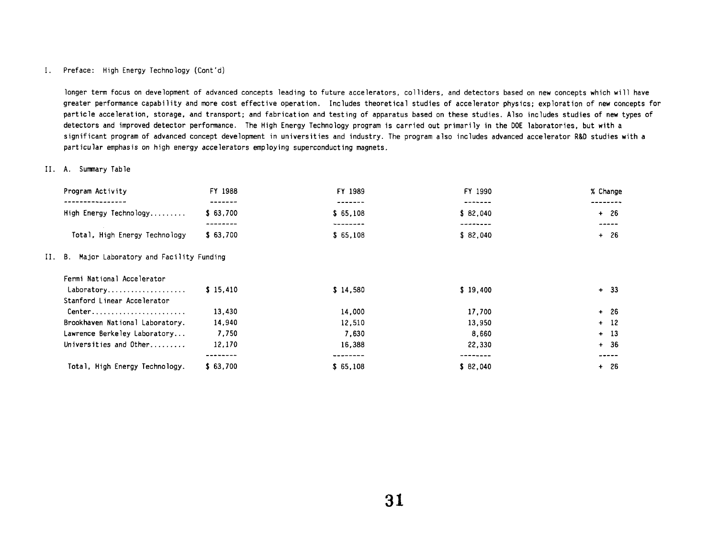### **I. Preface: High Energy Technology (Cont 'd)**

**longer term focus on development of advanced concepts leading to future accelerators, colliders, and detectors based on new concepts which will have greater performance capability and more cost effective operation. Includes theoretical studies of accelerator physics; exploration of new concepts for**  particle acceleration, storage, and transport; and fabrication and testing of apparatus based on these studies. Also includes studies of new types of **detectors and improved detector performance. The High Energy Technology program is carried out primarily in the DOE laboratories, but with a significant program of advanced concept development in universities and industry. The program also includes advanced accelerator R&D studies with a particular emphasis on high energy accelerators employing superconducting magnets.** 

#### **11. A. Sumnary Table**

| Program Activity                                         | FY 1988              | FY 1989              | FY 1990              | % Change        |
|----------------------------------------------------------|----------------------|----------------------|----------------------|-----------------|
| High Energy Technology                                   | -------<br>\$63,700  | -------<br>\$65,108  | \$82.040             | $+ 26$          |
| Total, High Energy Technology                            | --------<br>\$63,700 | --------<br>\$65,108 | --------<br>\$82,040 | -----<br>$+ 26$ |
| II. B. Major Laboratory and Facility Funding             |                      |                      |                      |                 |
| Fermi National Accelerator                               |                      |                      |                      |                 |
| Laboratory<br>Stanford Linear Accelerator                | \$15,410             | \$14.580             | \$19,400             | $+ 33$          |
| $Center \dots \dots \dots \dots \dots \dots \dots \dots$ | 13,430               | 14,000               | 17,700               | $+ 26$          |
| Brookhaven National Laboratory.                          | 14,940               | 12,510               | 13,950               | $+ 12$          |
| Lawrence Berkeley Laboratory                             | 7,750                | 7.630                | 8,660                | $+ 13$          |
| Universities and Other                                   | 12,170               | 16,388               | 22,330               | $+36$           |
|                                                          | --------             | --------             | --------             | -----           |
| Total, High Energy Technology.                           | \$63.700             | \$65,108             | \$82,040             | -26<br>$+$      |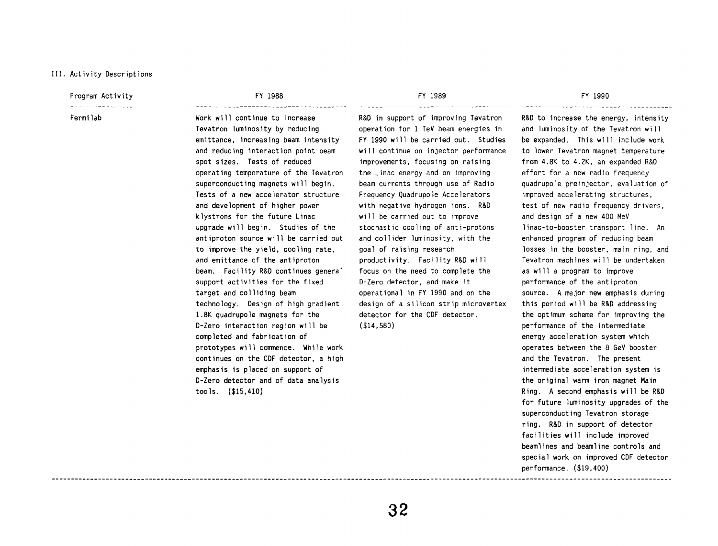#### 111. Activity Descriptions

# Program Activity

Fermi lab

FY 1988 ......................................

Work will continue to increase Tevatron luminosity by reducing emittance, increasing beam intensity and reducing interaction point beam spot sizes. Tests of reduced operating temperature of the Tevatron superconduct ing magnets wi 11 begin. Tests of a new accelerator structure and development of higher power klystrons for the future Linac upgrade will begin. Studies of the antiproton source will be carried out to improve the yield, cooling rate. and emittance of the antiproton beam. Facility R&D continues general support activities for the fixed target and colliding beam technology. Design of high gradient 1.8K quadrupole magnets for the D-Zero interaction region will be completed and fabrication of prototypes will commence. While work continues on the CDF detector, a high emphasis is placed on support of D-Zero detector and of data analysis tools. (\$15,410)

FY 1989 ......................................

R&D in support of improving Tevatron operation for 1 TeV beam energies in FY 1990 will be carried out. Studies will continue on injector performance improvements, focusing on raising the Linac energy and on improving beam currents through use of Radio Frequency Quadrupole Accelerators with negative hydrogen ions. R&D will be carried out to improve stochastic cooling of anti-protons and collider luminosity, with the goal of raising research productivity. Facility R&D will focus on the need to complete the D-Zero detector, and make it operational in FY 1990 and on the design of a silicon strip microvertex detector for the CDF detector. (\$14,580)

#### FY 1990

......................................

R&D to increase the energy, intensity and luminosity of the Tevatron wi 11 be expanded. This will include work to lower Tevatron magnet temperature from 4.8K to 4.2K. an expanded R&D effort for **s** new radio frequency quadrupole preinjector, evaluation of improved accelerating structures. test of new radio frequency drivers, and design of a new 400 MeV linac-to-booster transport line. An enhanced program of reducing beam losses in the booster, main ring. and Tevatron machines will be undertaken as wi 11 a program to improve performance of the antiproton source. A major new emphasis during this period will be R&D addressing the optimum scheme for improving the performance of the intermediate energy acceleration system which operates between the 8 GeV booster and the Tevatron. The present intermediate acceleration system is the original warm iron magnet Main Ring. **A** second emphasis will be R&D for future luminosity upgrades of the superconducting Tevatron storage ring. R&D in support of detector facilities will include improved beaml ines and beaml ine controls and special work on improved CDF detector performance. (\$19.400) ---------------------------------------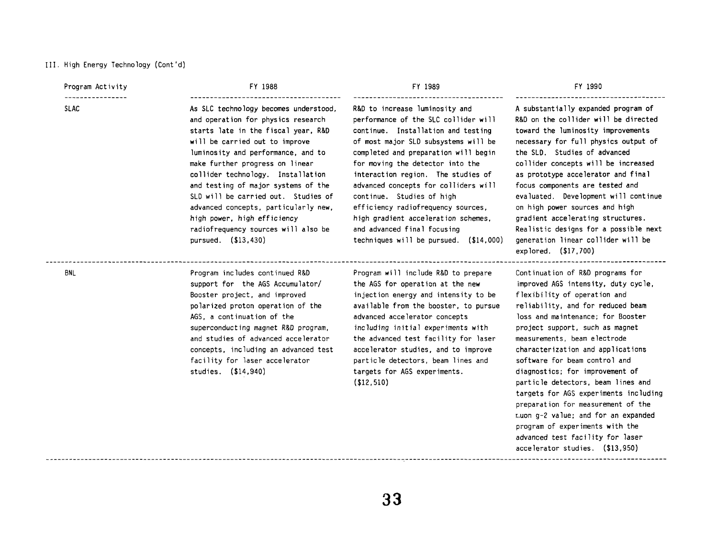#### 111. High Energy Technology (Cont 'd)

Program Activity

----------------

#### FY 1988

SLAC **As SLC technology becomes understood,** and operation for physics research starts late in the fiscal year, R&D will be carried out to improve luminosity and performance, and to make further progress on linear collider technology. Installation and testing of major systems of the SLD will be carried out. Studies of advanced concepts, particularly new, efficiency radiofrequency sources, on high power sources and high high power, high efficiency high gradient acceleration schemes. gradient accelerating structures. radiofrequency sources will also be and advanced final focusing entitled Realistic designs for a possible next pursued. (\$13,430) techniques will be pursued. (\$14,000) generation linear collider will be

#### FY 1989

R&D to increase luminosity and performance of the SLC collider will continue. Instal lation and testing of most major SLD subsystems will be completed and preparation will begin for moving the detector into the interaction region. The studies of advanced concepts for colliders will continue. Studies of high

#### FY 1990

A substantially expanded program of R&D on the collider will be directed toward the luminosity improvements necessary for full physics output of the SLD. Studies of advanced collider concepts will be increased as prototype accelerator and final focus components are tested and evaluated. Development will continue explored. (\$17,700)

**BNL** 

support for the AGS Accumulator/ the AGS for operation at the new improved AGS intensity, duty cycle, Booster project, and improved injection energy and intensity to be flexibility of operation and polarized proton operat ion of the available from the booster, to pursue reliability, and for reduced beam AGS, a continuation of the advanced accelerator concepts loss and maintenance; for Booster superconducting magnet R&D program, including initial experiments with project support, such as magnet and studies of advanced accelerator the advanced test facility for laser measurements, beam electrode concepts, including an advanced test accelerator studies, and to improve characterization and applications facility for laser accelerator particle detectors, beam lines and software for beam control and studies. (\$14,940) targets for AGS experiments. diagnostics; for improvement of

(\$12,510) particle detectors, beam lines and

Program includes continued R&D Program will include R&D to prepare Continuation of R&D programs for targets for AGS experiments including preparation for measurement of the r..uon 9-2 value; and for an expanded program of experiments with the advanced test facility for laser accelerator studies. (\$13,950)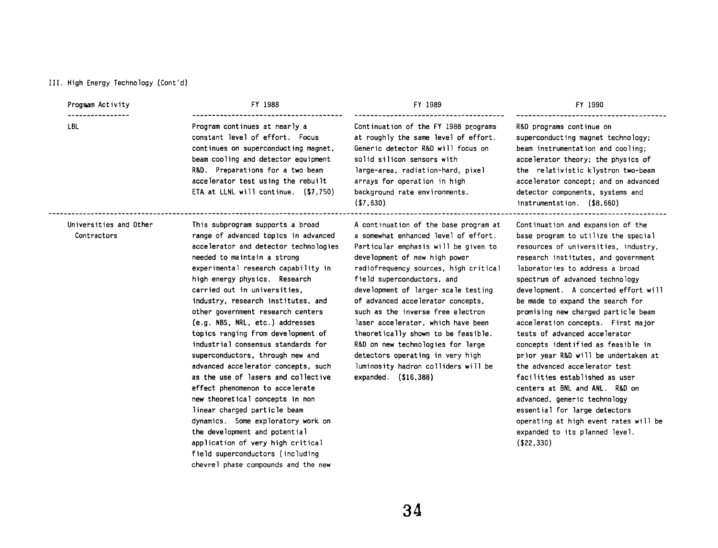#### **I1 I. High Energy Technology (Cont 'd)**

#### **Progmm Activity**  ----------------

**LBL** 

**FY 1988** 

...............................................

...................................... **Program continues at nearly a constant level of effort. Focus continues on superconduct ing magnet, beam cooling and detector equipment R&D. Preparations for a two beam accelerator test using the rebui lt ETA at LLNL wi 11 continue. (\$7,750)** 

#### **FY 1989**

...................................... **Continuation of the FY 1988 programs at roughly the same level of effort. Generic detector R&D will focus on solid silicon sensors with large-area, radiat ion-hard, pixel arrays for operation in high background rate environments. (\$7,630)** 

### FY 1990

**R&D programs continue on superconducting magnet technology; beam instrumentat ion and cool ing; accelerator theory; the physics of the relativistic klystron two-beam accelerator concept; and on advanced detector components, systems and instrumentation. (\$8.660)** 

**Universities and Other Contractors** 

.............................

**This subprogram supports a broad range of advanced topics in advanced accelerator and detector technologies needed to maintain a strong experimental research capability in high energy physics. Research carried out in universities, industry, research institutes, and other government research centers (e.g. NBS. NRL, etc.) addresses topics ranging from development of industrial consensus standards for superconductors, through new and advanced accelerator concepts, such as the use of lasers and collective effect phenomenon to accelerate new theoretical concepts in non 1 inear charged particle beam dynamics. Some exploratory work on the development and potential application of very high critical field superconductors (including chevrel phase compounds and the new** 

**A continuation of the base program at a somewhat enhanced level of effort. Particular emphasis will be given to development of new high power radiofrequency sources, high critical field superconductors, and development of larger scale testing of advanced accelerator concepts. such as the inverse free electron laser accelerator, which have been theoretically shown to be feasible. R&D on new technologies for large detectors operating in very high luminosity hadron coll iders wi 11 be expanded. (\$16,388)** 

**Continuation and expansion of the base program to utilize the special resources of universities, industry, research institutes, and government laboratories to address a broad spectrum of advanced techno logy development. A concerted effort wi 11 be made to expand the search for promising new charged particle beam acceleration concepts. First major tests of advanced accelerator concepts identified as feasible in prior year R&D will be undertaken at the advanced accelerator test facilities established as user centers at BNL and ANL. R&D on advanced, generic technology essential for large detectors operating at high event rates will be expanded to its planned level. (\$22,330)**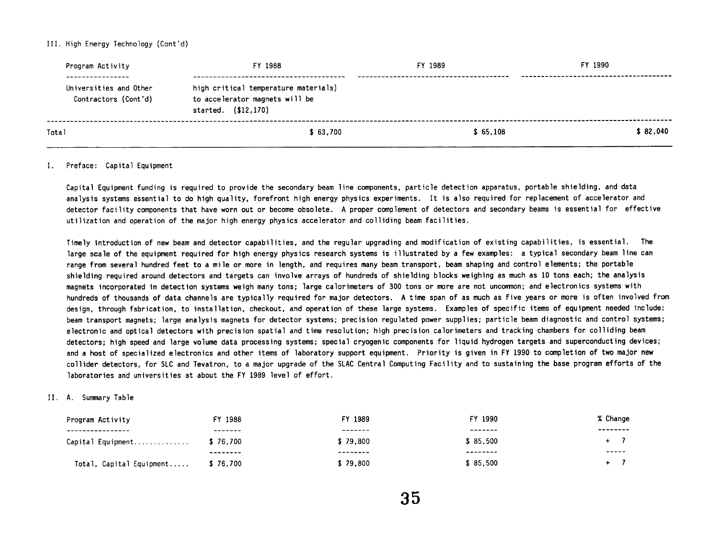#### **I1 I. High Energy Technology (Cont 'd)**

| Program Activity                                                   | FY 1988                                                                                       | FY 1989  | FY 1990  |  |
|--------------------------------------------------------------------|-----------------------------------------------------------------------------------------------|----------|----------|--|
| ----------------<br>Universities and Other<br>Contractors (Cont'd) | high critical temperature materials)<br>to accelerator magnets will be<br>started. (\$12,170) |          |          |  |
| Total                                                              | \$63.700                                                                                      | \$65.108 | \$82.040 |  |

#### **I. Preface: Capital Equipment**

Capital Equipment funding is required to provide the secondary beam line components, particle detection apparatus, portable shielding, and data **analysis systems essential to do high quality, forefront high energy physics experiments. It is also required for replacement of accelerator and detector facility components that have worn out or become obsolete. A proper complement of detectors and secondary beams is essential for effective utilization and operation of the major high energy physics accelerator and colliding beam faci 1 ities.** 

**Timely introductionof** newbeamanddetectorcapabilities, **and the regular** upgradingandmodificationof **existingcapabilities, is essential. The**  large scale of the equipment required for high energy physics research systems is illustrated by a few examples: a typical secondary beam line can **range from several hundred feet to a mile or more in length, and requires many beam transport, beam shaping and control elements; the portable shielding required around detectors and targets can involve arrays of hundreds of shielding blocks weighing as much as 10 tons each; the analysis**  magnets incorporated in detection systems weigh many tons; large calorimeters of 300 tons or more are not uncommon; and electronics systems with **hundreds of thousands of data channels are typically required for major detectors. A time span of as much as five years or more is often involved from**  design, through fabrication, to installation, checkout, and operation of these large systems. Examples of specific items of equipment needed include: **beam transport magnets; large analysis magnets for detector systems; precision regulated power supplies; particle beam diagnostic and control systems; electronic and optical detectors with precision spatial and time resolution; high precision calorimeters and tracking chambers for colliding beam**  detectors; high speed and large volume data processing systems; special cryogenic components for liquid hydrogen targets and superconducting devices; **and a host of specialized electronics and other items of laboratory support equipment. Priority is given in FY 1990 to completion of two major new**  collider detectors, for SLC and Tevatron, to a major upgrade of the SLAC Central Computing Facility and to sustaining the base program efforts of the **laboratories and universities at about the FY 1989 level of effort.** 

#### **11. A. Sumnary Table**

| Program Activity         | FY 1988  | FY 1989  | FY 1990  | % Change |
|--------------------------|----------|----------|----------|----------|
| ----------------         | -------  | -------  | -------  | -------- |
| Capital Equipment        | \$76.700 | \$79.800 | \$85.500 |          |
|                          | -------- | -------- | -------- | -----    |
| Total, Capital Equipment | \$76,700 | \$79.800 | \$85.500 |          |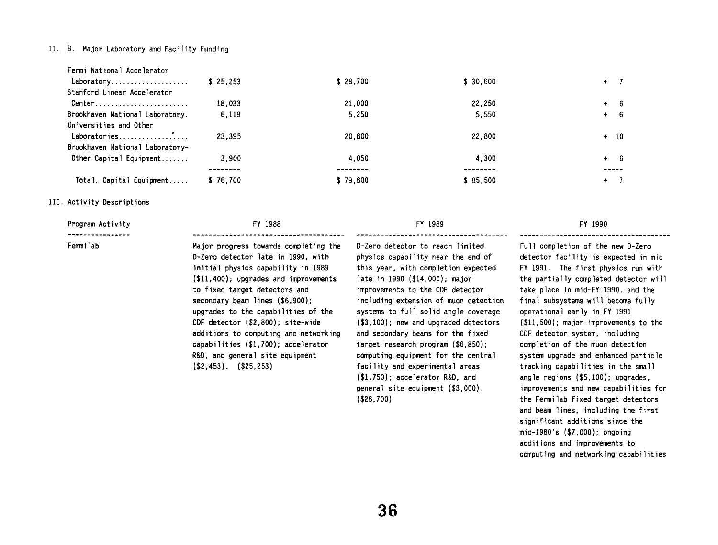#### 11. B. **Major Laboratory and Facility Funding**

| Total, Capital Equipment                                                | \$76,700 | \$79.800 | \$85.500  | $+$ 7  |
|-------------------------------------------------------------------------|----------|----------|-----------|--------|
|                                                                         | ------   |          | -------   | -----  |
| Brookhaven National Laboratory-<br>Other Capital Equipment              | 3.900    | 4.050    | 4,300     | $+ 6$  |
| Universities and Other                                                  | 23.395   | 20,800   | 22,800    | $+$ 10 |
| Brookhaven National Laboratory.                                         | 6,119    | 5,250    | 5.550     | $+ 6$  |
| $Center \dots \dots \dots \dots \dots \dots \dots \dots$                | 18,033   | 21,000   | 22,250    | $+ 6$  |
| Fermi National Accelerator<br>Laboratory<br>Stanford Linear Accelerator | \$25.253 | \$28,700 | \$ 30,600 | $+ 7$  |

## 111. **Activity Descriptions**

| FY 1988                                                                                                                                                                                                                                                                                                                                                                                                                                                        | FY 1989                                                                                                                                                                                                                                                                                                                                                                                                                                                                                                       | FY 1990                                                                                                                                                                                                                                                                                                                                                                                                                                                                                                                                                |
|----------------------------------------------------------------------------------------------------------------------------------------------------------------------------------------------------------------------------------------------------------------------------------------------------------------------------------------------------------------------------------------------------------------------------------------------------------------|---------------------------------------------------------------------------------------------------------------------------------------------------------------------------------------------------------------------------------------------------------------------------------------------------------------------------------------------------------------------------------------------------------------------------------------------------------------------------------------------------------------|--------------------------------------------------------------------------------------------------------------------------------------------------------------------------------------------------------------------------------------------------------------------------------------------------------------------------------------------------------------------------------------------------------------------------------------------------------------------------------------------------------------------------------------------------------|
| Major progress towards completing the<br>D-Zero detector late in 1990, with<br>initial physics capability in 1989<br>$(11, 400)$ ; upgrades and improvements<br>to fixed target detectors and<br>secondary beam lines (\$6.900):<br>upgrades to the capabilities of the<br>CDF detector (\$2,800): site-wide<br>additions to computing and networking<br>capabilities (\$1,700); accelerator<br>R&D, and general site equipment<br>$($ \$2,453). $($ \$25,253) | D-Zero detector to reach limited<br>physics capability near the end of<br>this year, with completion expected<br>late in 1990 (\$14,000); major<br>improvements to the CDF detector<br>including extension of muon detection<br>systems to full solid angle coverage<br>$(S3, 100)$ ; new and upgraded detectors<br>and secondary beams for the fixed<br>target research program $(\$6,850)$ ;<br>computing equipment for the central<br>facility and experimental areas<br>$(S1,750)$ ; accelerator R&D, and | Full completion of the new D-Zero<br>detector facility is expected in mid<br>FY 1991. The first physics run with<br>the partially completed detector will<br>take place in mid-FY 1990, and the<br>final subsystems will become fully<br>operational early in FY 1991<br>$(\$11,500)$ ; major improvements to the<br>CDF detector system, including<br>completion of the muon detection<br>system upgrade and enhanced particle<br>tracking capabilities in the small<br>angle regions $($5,100)$ ; upgrades,<br>improvements and new capabilities for |
|                                                                                                                                                                                                                                                                                                                                                                                                                                                                |                                                                                                                                                                                                                                                                                                                                                                                                                                                                                                               | general site equipment (\$3,000).                                                                                                                                                                                                                                                                                                                                                                                                                                                                                                                      |

f the new D-Zero is expected in mid **f st** physics run with **the partial ly completed detector wi 11 -FY 1990, and the final subsystems will become fully operational early in FY 1991 (\$11,500)** ; **major improvements to the em, including** muon detection **system upgrade and enhanced particle**  ties in the small **angle regions (\$5,100)** ; **upgrades, improvements and new capabi 1 it ies for the Fermilab fixed target detectors and beam lines, including the first significant additions since the mid-1980's (\$7,000)** ; **ongoing additions and improvements to computing and networking capabi 1 it ies** 

**(\$28.700)**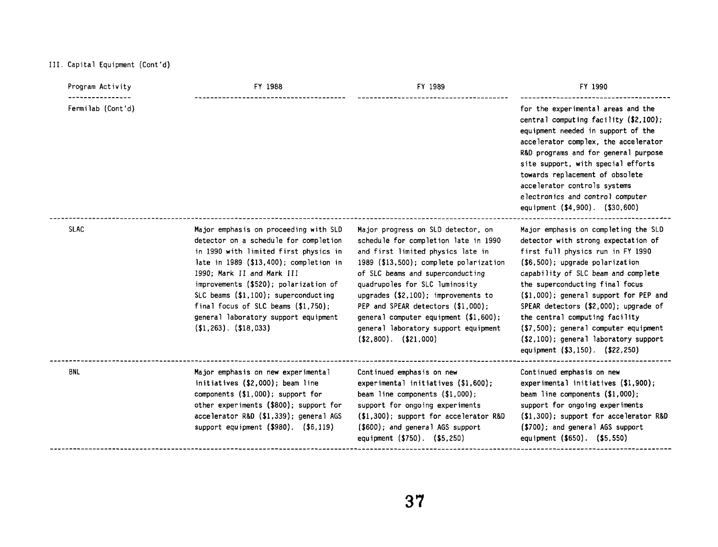# 111. **Capital Equipment (Cont 'd)**

| Program Activity  | FY 1988                                                                                                                                                                                                                                                                                                                                                                                             | FY 1989                                                                                                                                                                                                                                                                                                                                                                                                                      | FY 1990                                                                                                                                                                                                                                                                                                                                                                                                                                                                    |
|-------------------|-----------------------------------------------------------------------------------------------------------------------------------------------------------------------------------------------------------------------------------------------------------------------------------------------------------------------------------------------------------------------------------------------------|------------------------------------------------------------------------------------------------------------------------------------------------------------------------------------------------------------------------------------------------------------------------------------------------------------------------------------------------------------------------------------------------------------------------------|----------------------------------------------------------------------------------------------------------------------------------------------------------------------------------------------------------------------------------------------------------------------------------------------------------------------------------------------------------------------------------------------------------------------------------------------------------------------------|
| Fermilab (Cont'd) |                                                                                                                                                                                                                                                                                                                                                                                                     |                                                                                                                                                                                                                                                                                                                                                                                                                              | for the experimental areas and the<br>central computing facility (\$2,100);<br>equipment needed in support of the<br>accelerator complex, the accelerator<br>R&D programs and for general purpose<br>site support, with special efforts<br>towards replacement of obsolete<br>accelerator controls systems<br>electronics and control computer<br>equipment (\$4,900). (\$30,600)                                                                                          |
| <b>SLAC</b>       | Major emphasis on proceeding with SLD<br>detector on a schedule for completion<br>in 1990 with limited first physics in<br>late in 1989 (\$13,400); completion in<br>1990; Mark II and Mark III<br>improvements (\$520); polarization of<br>SLC beams $(\$1,100)$ ; superconducting<br>final focus of SLC beams $($1,750)$ ;<br>general laboratory support equipment<br>$($ \$1,263). $($ \$18,033) | Major progress on SLD detector, on<br>schedule for completion late in 1990<br>and first limited physics late in<br>1989 (\$13,500); complete polarization<br>of SLC beams and superconducting<br>quadrupoles for SLC luminosity<br>upgrades (\$2,100); improvements to<br>PEP and SPEAR detectors (\$1,000);<br>general computer equipment (\$1,600);<br>general laboratory support equipment<br>$($ \$2,800). $($ \$21,000) | Major emphasis on completing the SLD<br>detector with strong expectation of<br>first full physics run in FY 1990<br>$($6,500)$ ; upgrade polarization<br>capability of SLC beam and complete<br>the superconducting final focus<br>$(1,000)$ ; general support for PEP and<br>SPEAR detectors (\$2,000); upgrade of<br>the central computing facility<br>(\$7,500); general computer equipment<br>(\$2,100); general laboratory support<br>equipment (\$3,150). (\$22,250) |
| <b>BNL</b>        | Major emphasis on new experimental<br>initiatives (\$2,000); beam line<br>components $(\$1,000)$ ; support for<br>other experiments (\$800); support for<br>accelerator R&D (\$1,339); general AGS<br>support equipment (\$980). (\$6,119)                                                                                                                                                          | Continued emphasis on new<br>experimental initiatives $(\$1,600)$ ;<br>beam line components $($1,000)$ ;<br>support for ongoing experiments<br>$(1,300)$ ; support for accelerator R&D<br>$($600)$ ; and general AGS support<br>equipment (\$750). (\$5,250)                                                                                                                                                                 | Continued emphasis on new<br>experimental initiatives $(1,900)$ ;<br>beam line components $($1,000)$ ;<br>support for ongoing experiments<br>$(1,300)$ ; support for accelerator R&D<br>(\$700); and general AGS support<br>equipment (\$650). (\$5,550)                                                                                                                                                                                                                   |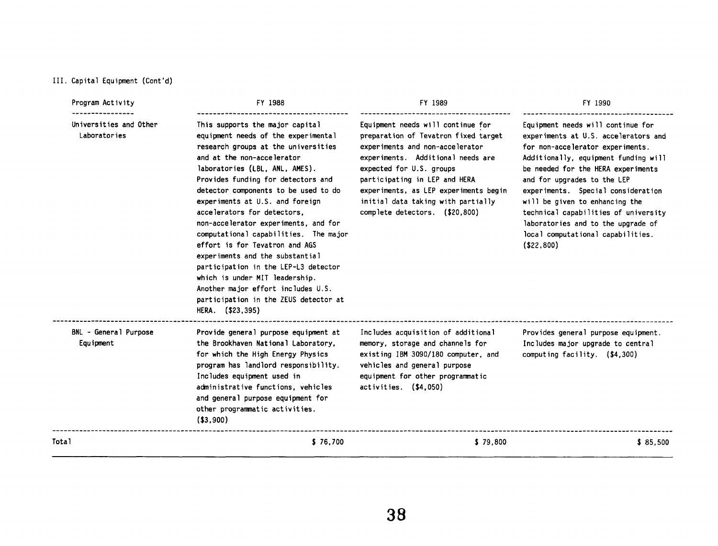# **111. Capital Equipment (Cont'd)**

| Program Activity                       | FY 1988                                                                                                                                                                                                                                                                                                                                                                                                                                                                                                                                                                                                                                                          | FY 1989                                                                                                                                                                                                                                                                                                                         | FY 1990                                                                                                                                                                                                                                                                                                                                                                                                                               |  |
|----------------------------------------|------------------------------------------------------------------------------------------------------------------------------------------------------------------------------------------------------------------------------------------------------------------------------------------------------------------------------------------------------------------------------------------------------------------------------------------------------------------------------------------------------------------------------------------------------------------------------------------------------------------------------------------------------------------|---------------------------------------------------------------------------------------------------------------------------------------------------------------------------------------------------------------------------------------------------------------------------------------------------------------------------------|---------------------------------------------------------------------------------------------------------------------------------------------------------------------------------------------------------------------------------------------------------------------------------------------------------------------------------------------------------------------------------------------------------------------------------------|--|
| Universities and Other<br>Laboratories | This supports the major capital<br>equipment needs of the experimental<br>research groups at the universities<br>and at the non-accelerator<br>laboratories (LBL, ANL, AMES).<br>Provides funding for detectors and<br>detector components to be used to do<br>experiments at U.S. and foreign<br>accelerators for detectors,<br>non-accelerator experiments, and for<br>computational capabilities. The major<br>effort is for Tevatron and AGS<br>experiments and the substantial<br>participation in the LEP-L3 detector<br>which is under MIT leadership.<br>Another major effort includes U.S.<br>participation in the ZEUS detector at<br>HERA. (\$23,395) | Equipment needs will continue for<br>preparation of Tevatron fixed target<br>experiments and non-accelerator<br>experiments. Additional needs are<br>expected for U.S. groups<br>participating in LEP and HERA<br>experiments, as LEP experiments begin<br>initial data taking with partially<br>complete detectors. (\$20,800) | Equipment needs will continue for<br>experiments at U.S. accelerators and<br>for non-accelerator experiments.<br>Additionally, equipment funding will<br>be needed for the HERA experiments<br>and for upgrades to the LEP<br>experiments. Special consideration<br>will be given to enhancing the<br>technical capabilities of university<br>laboratories and to the upgrade of<br>local computational capabilities.<br>( \$22, 800) |  |
| BNL - General Purpose<br>Equipment     | Provide general purpose equipment at<br>the Brookhaven National Laboratory,<br>for which the High Energy Physics<br>program has landlord responsibility.<br>Includes equipment used in<br>administrative functions, vehicles<br>and general purpose equipment for<br>other programmatic activities.<br>( \$3, 900)                                                                                                                                                                                                                                                                                                                                               | Includes acquisition of additional<br>memory, storage and channels for<br>existing IBM 3090/180 computer, and<br>vehicles and general purpose<br>equipment for other programmatic<br>$activities.$ $( $4,050)$                                                                                                                  | Provides general purpose equipment.<br>Includes major upgrade to central<br>computing facility. (\$4,300)                                                                                                                                                                                                                                                                                                                             |  |
| Total                                  | \$76,700                                                                                                                                                                                                                                                                                                                                                                                                                                                                                                                                                                                                                                                         | \$79,800                                                                                                                                                                                                                                                                                                                        | \$85,500                                                                                                                                                                                                                                                                                                                                                                                                                              |  |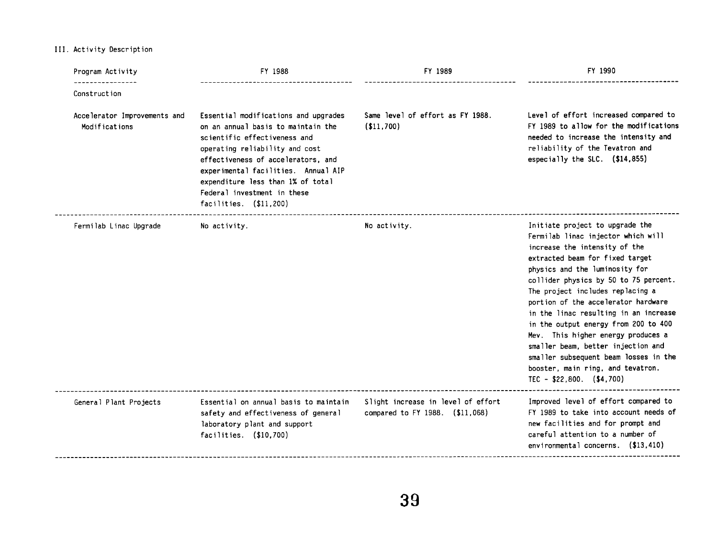**111. Activity Description** 

| Program Activity                              | FY 1988                                                                                                                                                                                                                                                                                                                  | FY 1989                                                               | FY 1990                                                                                                                                                                                                                                                                                                                                                                                                                                                                                                                                                                  |
|-----------------------------------------------|--------------------------------------------------------------------------------------------------------------------------------------------------------------------------------------------------------------------------------------------------------------------------------------------------------------------------|-----------------------------------------------------------------------|--------------------------------------------------------------------------------------------------------------------------------------------------------------------------------------------------------------------------------------------------------------------------------------------------------------------------------------------------------------------------------------------------------------------------------------------------------------------------------------------------------------------------------------------------------------------------|
| Construction                                  |                                                                                                                                                                                                                                                                                                                          |                                                                       |                                                                                                                                                                                                                                                                                                                                                                                                                                                                                                                                                                          |
| Accelerator Improvements and<br>Modifications | Essential modifications and upgrades<br>on an annual basis to maintain the<br>scientific effectiveness and<br>operating reliability and cost<br>effectiveness of accelerators, and<br>experimental facilities. Annual AIP<br>expenditure less than 1% of total<br>Federal investment in these<br>facilities. $($11,200)$ | Same level of effort as FY 1988.<br>( \$11,700)                       | Level of effort increased compared to<br>FY 1989 to allow for the modifications<br>needed to increase the intensity and<br>reliability of the Tevatron and<br>especially the SLC. $(14, 855)$                                                                                                                                                                                                                                                                                                                                                                            |
| Fermilab Linac Upgrade                        | No activity.                                                                                                                                                                                                                                                                                                             | No activity.                                                          | Initiate project to upgrade the<br>Fermilab linac injector which will<br>increase the intensity of the<br>extracted beam for fixed target<br>physics and the luminosity for<br>collider physics by 50 to 75 percent.<br>The project includes replacing a<br>portion of the accelerator hardware<br>in the linac resulting in an increase<br>in the output energy from 200 to 400<br>Mev. This higher energy produces a<br>smaller beam, better injection and<br>smaller subsequent beam losses in the<br>booster, main ring, and tevatron.<br>TEC - $$22,800.$ (\$4,700) |
| General Plant Projects                        | Essential on annual basis to maintain<br>safety and effectiveness of general<br>laboratory plant and support<br>facilities. (\$10,700)                                                                                                                                                                                   | Slight increase in level of effort<br>compared to FY 1988. (\$11,068) | Improved level of effort compared to<br>FY 1989 to take into account needs of<br>new facilities and for prompt and<br>careful attention to a number of<br>environmental concerns. (\$13,410)                                                                                                                                                                                                                                                                                                                                                                             |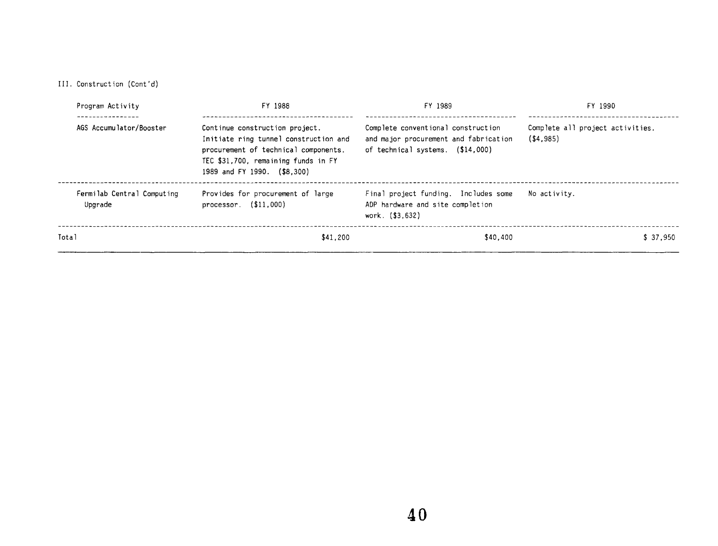111. Construction (Cont 'd)

| Program Activity                      | FY 1988                                                                                                                                                                               | FY 1989                                                                                                         | FY 1990                                         |  |
|---------------------------------------|---------------------------------------------------------------------------------------------------------------------------------------------------------------------------------------|-----------------------------------------------------------------------------------------------------------------|-------------------------------------------------|--|
| AGS Accumulator/Booster               | Continue construction project.<br>Initiate ring tunnel construction and<br>procurement of technical components.<br>TEC \$31,700, remaining funds in FY<br>1989 and FY 1990. (\$8,300) | Complete conventional construction<br>and major procurement and fabrication<br>of technical systems. (\$14,000) | Complete all project activities.<br>( \$4, 985) |  |
| Fermilab Central Computing<br>Upgrade | Provides for procurement of large<br>processor. $($11,000)$                                                                                                                           | Final project funding. Includes some<br>ADP hardware and site completion<br>work. (\$3,632)                     | No activity.                                    |  |
| Total                                 | \$41.200                                                                                                                                                                              | \$40.400                                                                                                        | \$37.950                                        |  |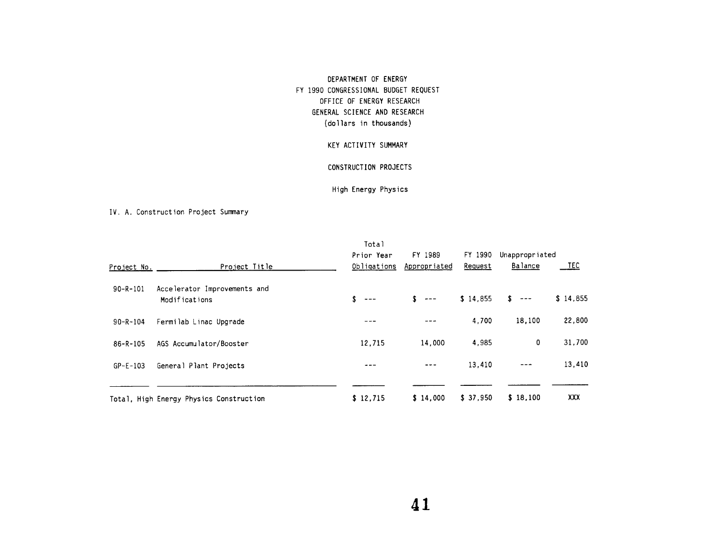# DEPARTMENT OF ENERGY FY 1990 CONGRESSIONAL BUDGET REQUEST OFFICE OF ENERGY RESEARCH GENERAL SCIENCE AND RESEARCH (do1 lars in thousands)

# KEY ACTIVITY SUMMARY

### CONSTRUCTION PROJECTS

# High Energy Physics

### IV. A. Construction Project Sumnary

|                | IV. A. Construction Project Summary           |                                    |                         |                    |                           |             |
|----------------|-----------------------------------------------|------------------------------------|-------------------------|--------------------|---------------------------|-------------|
| Project No.    | Project Title                                 | Total<br>Prior Year<br>Obligations | FY 1989<br>Appropriated | FY 1990<br>Request | Unappropriated<br>Balance | <u>_TEC</u> |
| $90 - R - 101$ | Accelerator Improvements and<br>Modifications | \$.<br>$\frac{1}{2}$               | \$<br>$\frac{1}{2}$     | \$14.855           | s.<br>---                 | \$14,855    |
| $90 - R - 104$ | Fermilab Linac Upgrade                        |                                    |                         | 4,700              | 18,100                    | 22,800      |
| $86 - R - 105$ | AGS Accumulator/Booster                       | 12,715                             | 14,000                  | 4,985              | 0                         | 31,700      |
| $GP - E - 103$ | General Plant Projects                        |                                    |                         | 13,410             |                           | 13,410      |
|                | Total, High Energy Physics Construction       | \$12,715                           | \$14,000                | \$37,950           | \$18,100                  | XXX         |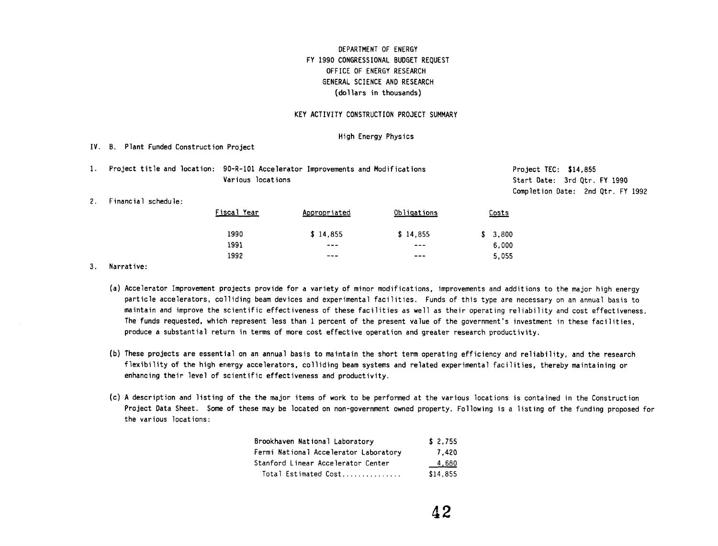# **DEPARTMENT OF ENERGY FY 1990 CONGRESSIONAL BUDGET REQUEST OFFICE OF ENERGY RESEARCH GENERAL SCIENCE AN0 RESEARCH (do1 lars in thousands)**

#### **KEY ACTIVITY CONSTRUCTION PROJECT SUMMARY**

#### **High Energy Physics**

**IV. 8. Plant Funded Construction Project** 

**1. Project title and location: 90-R-101 Accelerator Improvements and Modifications Various locations** 

**Project TEC: \$14,855 Start Date: 3rd Qtr. FY 1990 Completion Date: 2nd Qtr. FY 1992** 

**2. Financial schedule:** 

| 90-R-101 Accelerator Improvements and Modifications<br>Various locations |              | Proje<br>Start<br>Comp 1 |             |  |
|--------------------------------------------------------------------------|--------------|--------------------------|-------------|--|
| F <u>is</u> cal Year                                                     | Appropriated | Obligations              | Costs       |  |
| 1990                                                                     | \$14.855     | \$14.855                 | 3,800<br>S. |  |
| 1991                                                                     |              | ---                      | 6,000       |  |
| 1992                                                                     |              |                          | 5,055       |  |
|                                                                          |              |                          |             |  |

- **(a) Accelerator Improvement projects provide for a variety of minor modifications, improvements and additions to the major high energy**  particle accelerators, colliding beam devices and experimental facilities. Funds of this type are necessary on an annual basis to **maintain and improve the scientific effectiveness of these facilities as well as their operating reliability and cost effectiveness. The funds requested, which represent less than 1 percent of the present value of the government's investment in these facilities. produce a substantial return in terms of more cost effective operation and greater research productivity.**
- **(b) These projects are essential on an annual basis to maintain the short term operating efficiency and reliability, and the research flexibility of the high energy accelerators, colliding beam systems and related experimental facilities, thereby maintaining or enhancing their level of scientific effectiveness and productivity.**
- **(c) A description and listing of the the major items of work to be performed at the various locations is contained in the Construction**  Project Data Sheet. Some of these may be located on non-government owned property. Following is a listing of the funding proposed for **the various locations:**

| Brookhaven National Laboratory        | \$2.755  |
|---------------------------------------|----------|
| Fermi National Accelerator Laboratory | 7.420    |
| Stanford Linear Accelerator Center    | 4,680    |
| Total Estimated Cost                  | \$14,855 |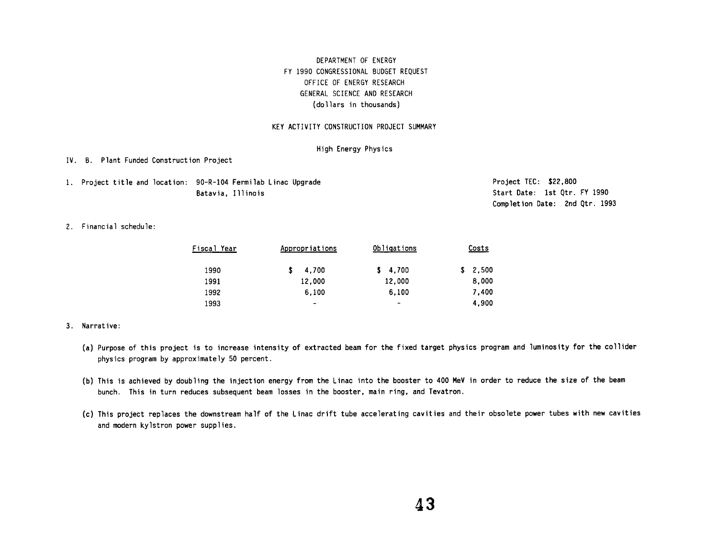# **DEPARTMENT OF ENERGY FY 1990 CONGRESSIONAL BUDGET REQUEST OFFICE OF ENERGY RESEARCH GENERAL SCIENCE AND RESEARCH (do1 lars in thousands)**

#### **KEY ACTIVITY CONSTRUCTION PROJECT SUMMARY**

### **High Energy Physics**

#### **IV. 0. Plant Funded Construction Project**

**1. Project title and location: 90-R-104 Fermilab Linac Upgrade Batavia, Illinois** 

**Project TEC: \$22,800 Start Date: 1st Qtr. FY 1990 Completion Date: 2nd Qtr. 1993** 

**2. Financial schedule:** 

| Batavia, Illinois  |                                                                                                                                                   |                              | Start<br>Comp l |
|--------------------|---------------------------------------------------------------------------------------------------------------------------------------------------|------------------------------|-----------------|
|                    |                                                                                                                                                   |                              |                 |
| <u>Fiscal Year</u> | Appropriations                                                                                                                                    | Obligations                  | Costs           |
| 1990               | \$<br>4.700                                                                                                                                       | 4,700<br>s                   | 2,500<br>s      |
| 1991               | 12,000                                                                                                                                            | 12,000                       | 8,000           |
| 1992               | 6,100                                                                                                                                             | 6,100                        | 7,400           |
| 1993               | $\hskip1.6pt\hskip1.6pt\hskip1.6pt\hskip1.6pt\hskip1.6pt\hskip1.6pt\hskip1.6pt\hskip1.6pt\hskip1.6pt\hskip1.6pt\hskip1.6pt\hskip1.6pt\hskip1.6pt$ | $\qquad \qquad \blacksquare$ | 4,900           |

- **(a) Purpose of this project is to increase intensity of extracted beam for the fixed target physics program and luminosity for the collider physics program by approximately 50 percent.**
- **(b) This is achieved by doubling the injection energy from the Linac into the booster to 400 MeV in order to reduce the size** of **the beam bunch. This in turn reduces subsequent beam losses in the booster, main ring, and Tevatron.**
- **(c) This project replaces the downstream half of the Linac drift tube accelerating cavities and their obsolete power tubes with new cavities and modern kylstron power supplies.**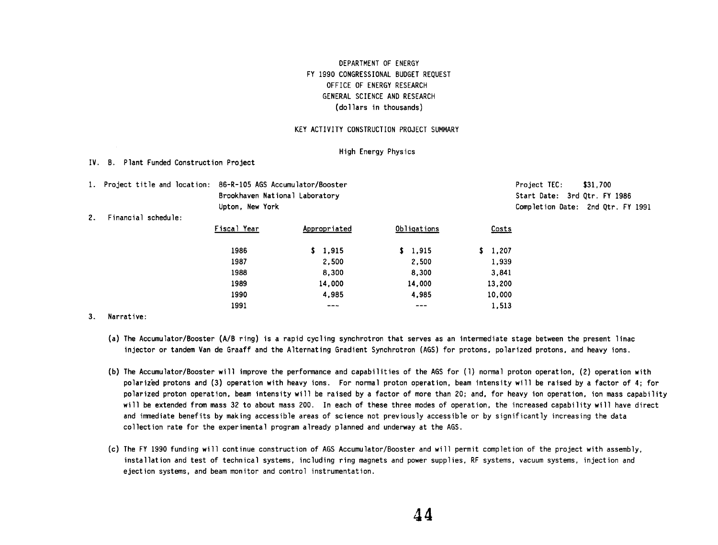# **DEPARTMENT OF ENERGY FY 1990 CONGRESSIONAL BUDGET REQUEST OFFICE OF ENERGY RESEARCH GENERAL SCIENCE AN0 RESEARCH (do1 lars in thousands)**

#### **KEY ACTIVITY CONSTRUCTION PROJECT SUMMARY**

#### **High Energy Physics**

#### **IV. 8. Plant Funded Construction Project**

|  | 1. Project title and location: 86-R-105 AGS Accumulator/Booster | Project TEC:               | \$31,700 |
|--|-----------------------------------------------------------------|----------------------------|----------|
|  | Brookhaven National Laboratory                                  | Start Date: 3rd Otr. FY    |          |
|  | Jinton New York                                                 | Completion Date: $2nd$ Otx |          |

Start Date: 3rd Otr. FY 1986 **Upton. New York Completion Date: 2nd Qtr. FY 1991** 

#### **2. Financial schedule:**

|             | le and location: 86-R-105 AGS Accumulator/Booster<br>Brookhaven National Laboratory<br>Upton, New York |              |             |        |  |
|-------------|--------------------------------------------------------------------------------------------------------|--------------|-------------|--------|--|
| schedu le : |                                                                                                        |              |             | Comp 1 |  |
|             | Fiscal Year                                                                                            | Appropriated | Obligations | Costs  |  |
|             | 1986                                                                                                   | \$1,915      | \$1.915     | 1,207  |  |
|             | 1987                                                                                                   | 2,500        | 2,500       | 1.939  |  |
|             | 1988                                                                                                   | 8,300        | 8,300       | 3.841  |  |
|             | 1989                                                                                                   | 14.000       | 14,000      | 13,200 |  |
|             | 1990                                                                                                   | 4.985        | 4.985       | 10.000 |  |
|             | 1991                                                                                                   |              |             | 1.513  |  |
|             |                                                                                                        |              |             |        |  |

- (a) The Accumulator/Booster (A/B ring) is a rapid cycling synchrotron that serves as an intermediate stage between the present linac **injector or tandem Van de Graaff and the Alternating Gradient Synchrotron (AGS) for protons, polarized protons, and heavy ions.**
- **(b) The Accumulator/Booster will improve the performance and capabilities of the AGS for (1) normal proton operation. (2) operation with polarized protons and (3) operation with heavy ions. For normal proton operation, beam intensity wi 11 be raised by a factor of 4; for polarized proton operation, beam intensity wi 11 be raised by a factor of more than 20; and, for heavy ion operation, ion mass capability will be extended from mass 32 to about mass 200. In each of these three modes of operation, the increased capability will have direct and imnediate benefits by making accessible areas of science not previously accessible or by significantly increasing the data collection rate for the experimental program already planned and underway at the AGS.**
- **(c) The FY 1990 funding will continue construction of AGS Accumulator/Booster and will permit completion of the project with assembly, installation and test of technical systems, including ring magnets and power supplies. RF systems, vacuum systems, injection and ejection systems, and beam monitor and control instrumentation.**